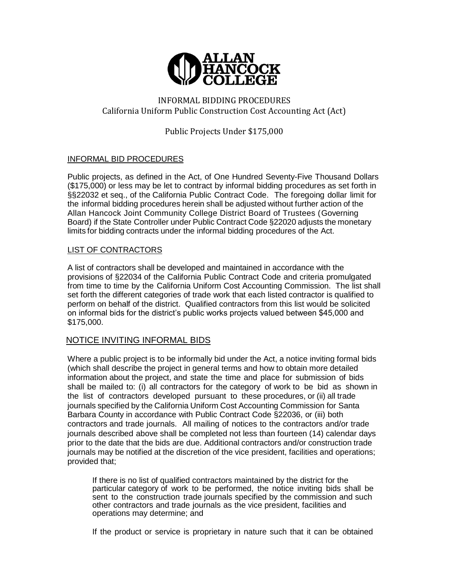

# INFORMAL BIDDING PROCEDURES California Uniform Public Construction Cost Accounting Act (Act)

Public Projects Under \$175,000

# INFORMAL BID PROCEDURES

Public projects, as defined in the Act, of One Hundred Seventy-Five Thousand Dollars (\$175,000) or less may be let to contract by informal bidding procedures as set forth in §§22032 et seq., of the California Public Contract Code. The foregoing dollar limit for the informal bidding procedures herein shall be adjusted without further action of the Allan Hancock Joint Community College District Board of Trustees (Governing Board) if the State Controller under Public Contract Code §22020 adjusts the monetary limits for bidding contracts under the informal bidding procedures of the Act.

### LIST OF CONTRACTORS

A list of contractors shall be developed and maintained in accordance with the provisions of §22034 of the California Public Contract Code and criteria promulgated from time to time by the California Uniform Cost Accounting Commission. The list shall set forth the different categories of trade work that each listed contractor is qualified to perform on behalf of the district. Qualified contractors from this list would be solicited on informal bids for the district's public works projects valued between \$45,000 and \$175,000.

# NOTICE INVITING INFORMAL BIDS

Where a public project is to be informally bid under the Act, a notice inviting formal bids (which shall describe the project in general terms and how to obtain more detailed information about the project, and state the time and place for submission of bids shall be mailed to: (i) all contractors for the category of work to be bid as shown in the list of contractors developed pursuant to these procedures, or (ii) all trade journals specified by the California Uniform Cost Accounting Commission for Santa Barbara County in accordance with Public Contract Code §22036, or (iii) both contractors and trade journals. All mailing of notices to the contractors and/or trade journals described above shall be completed not less than fourteen (14) calendar days prior to the date that the bids are due. Additional contractors and/or construction trade journals may be notified at the discretion of the vice president, facilities and operations; provided that;

If there is no list of qualified contractors maintained by the district for the particular category of work to be performed, the notice inviting bids shall be sent to the construction trade journals specified by the commission and such other contractors and trade journals as the vice president, facilities and operations may determine; and

If the product or service is proprietary in nature such that it can be obtained